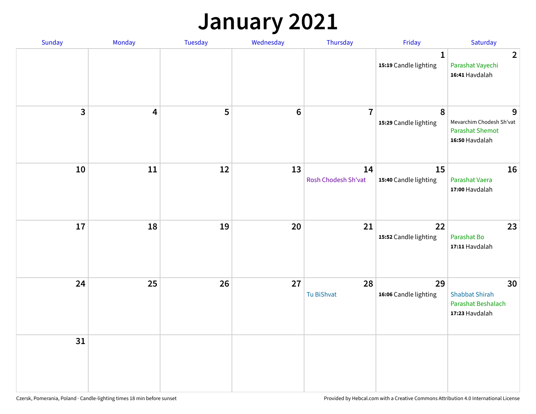### **January 2021**

| Sunday       | Monday                  | Tuesday | Wednesday | Thursday                  | Friday                                | Saturday                                                                  |
|--------------|-------------------------|---------|-----------|---------------------------|---------------------------------------|---------------------------------------------------------------------------|
|              |                         |         |           |                           | $\mathbf{1}$<br>15:19 Candle lighting | $\overline{2}$<br>Parashat Vayechi<br>16:41 Havdalah                      |
| $\mathbf{3}$ | $\overline{\mathbf{4}}$ | 5       | $\bf 6$   | $\overline{7}$            | 8<br>15:29 Candle lighting            | 9<br>Mevarchim Chodesh Sh'vat<br><b>Parashat Shemot</b><br>16:50 Havdalah |
| 10           | 11                      | 12      | 13        | 14<br>Rosh Chodesh Sh'vat | 15<br>15:40 Candle lighting           | 16<br>Parashat Vaera<br>17:00 Havdalah                                    |
| 17           | 18                      | 19      | 20        | 21                        | 22<br>15:52 Candle lighting           | 23<br>Parashat Bo<br>17:11 Havdalah                                       |
| 24           | 25                      | 26      | 27        | 28<br>Tu BiShvat          | 29<br>16:06 Candle lighting           | 30<br><b>Shabbat Shirah</b><br>Parashat Beshalach<br>17:23 Havdalah       |
| 31           |                         |         |           |                           |                                       |                                                                           |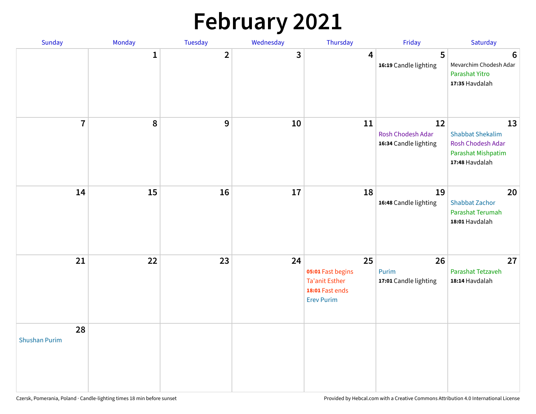# **February 2021**

| Sunday                     | Monday       | Tuesday        | Wednesday | Thursday                                                                                 | Friday                                           | Saturday                                                                                   |
|----------------------------|--------------|----------------|-----------|------------------------------------------------------------------------------------------|--------------------------------------------------|--------------------------------------------------------------------------------------------|
|                            | $\mathbf{1}$ | $\overline{2}$ | 3         | 4                                                                                        | 5<br>16:19 Candle lighting                       | $6\phantom{1}6$<br>Mevarchim Chodesh Adar<br>Parashat Yitro<br>17:35 Havdalah              |
| $\overline{7}$             | 8            | 9              | 10        | 11                                                                                       | 12<br>Rosh Chodesh Adar<br>16:34 Candle lighting | 13<br><b>Shabbat Shekalim</b><br>Rosh Chodesh Adar<br>Parashat Mishpatim<br>17:48 Havdalah |
| 14                         | 15           | 16             | 17        | 18                                                                                       | 19<br>16:48 Candle lighting                      | 20<br><b>Shabbat Zachor</b><br>Parashat Terumah<br>18:01 Havdalah                          |
| 21                         | 22           | 23             | 24        | 25<br>05:01 Fast begins<br><b>Ta'anit Esther</b><br>18:01 Fast ends<br><b>Erev Purim</b> | 26<br>Purim<br>17:01 Candle lighting             | 27<br>Parashat Tetzaveh<br>18:14 Havdalah                                                  |
| 28<br><b>Shushan Purim</b> |              |                |           |                                                                                          |                                                  |                                                                                            |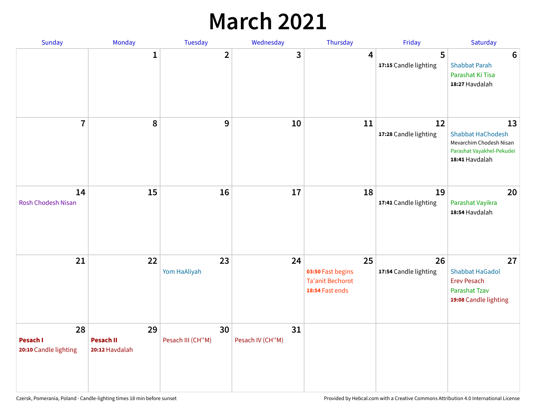### **March 2021**

| Sunday                                  | Monday                                   | Tuesday                 | Wednesday              | Thursday                                                              | Friday                      | Saturday                                                                                                 |
|-----------------------------------------|------------------------------------------|-------------------------|------------------------|-----------------------------------------------------------------------|-----------------------------|----------------------------------------------------------------------------------------------------------|
|                                         | $\mathbf{1}$                             | $\overline{2}$          | 3                      | 4                                                                     | 5<br>17:15 Candle lighting  | $6\phantom{1}6$<br><b>Shabbat Parah</b><br>Parashat Ki Tisa<br>18:27 Havdalah                            |
| $\overline{7}$                          | 8                                        | $\boldsymbol{9}$        | 10                     | 11                                                                    | 12<br>17:28 Candle lighting | 13<br><b>Shabbat HaChodesh</b><br>Mevarchim Chodesh Nisan<br>Parashat Vayakhel-Pekudei<br>18:41 Havdalah |
| 14<br><b>Rosh Chodesh Nisan</b>         | 15                                       | 16                      | 17                     | 18                                                                    | 19<br>17:41 Candle lighting | 20<br>Parashat Vayikra<br>18:54 Havdalah                                                                 |
| 21                                      | 22                                       | 23<br>Yom HaAliyah      | 24                     | 25<br>03:50 Fast begins<br><b>Ta'anit Bechorot</b><br>18:54 Fast ends | 26<br>17:54 Candle lighting | 27<br><b>Shabbat HaGadol</b><br><b>Erev Pesach</b><br>Parashat Tzav<br>19:08 Candle lighting             |
| 28<br>Pesach I<br>20:10 Candle lighting | 29<br><b>Pesach II</b><br>20:12 Havdalah | 30<br>Pesach III (CH"M) | 31<br>Pesach IV (CH"M) |                                                                       |                             |                                                                                                          |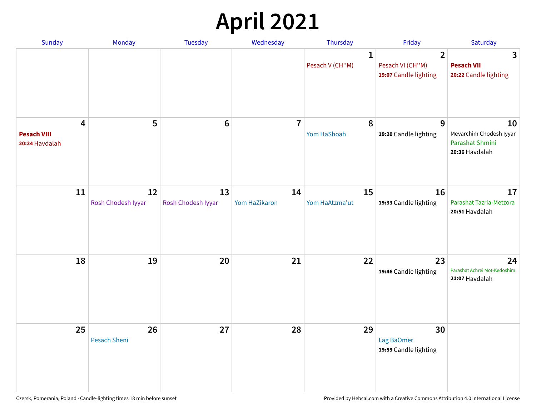# **April 2021**

| Sunday                                    | Monday                   | Tuesday                  | Wednesday           | Thursday                        | Friday                                                      | Saturday                                                           |
|-------------------------------------------|--------------------------|--------------------------|---------------------|---------------------------------|-------------------------------------------------------------|--------------------------------------------------------------------|
|                                           |                          |                          |                     | $\mathbf{1}$<br>Pesach V (CH"M) | $\overline{2}$<br>Pesach VI (CH"M)<br>19:07 Candle lighting | 3<br><b>Pesach VII</b><br>20:22 Candle lighting                    |
| 4<br><b>Pesach VIII</b><br>20:24 Havdalah | 5                        | $6\phantom{1}6$          | $\overline{7}$      | 8<br>Yom HaShoah                | 9<br>19:20 Candle lighting                                  | 10<br>Mevarchim Chodesh Iyyar<br>Parashat Shmini<br>20:36 Havdalah |
| 11                                        | 12<br>Rosh Chodesh Iyyar | 13<br>Rosh Chodesh Iyyar | 14<br>Yom HaZikaron | 15<br>Yom HaAtzma'ut            | 16<br>19:33 Candle lighting                                 | 17<br>Parashat Tazria-Metzora<br>20:51 Havdalah                    |
| 18                                        | 19                       | 20                       | 21                  | 22                              | 23<br>19:46 Candle lighting                                 | 24<br>Parashat Achrei Mot-Kedoshim<br>21:07 Havdalah               |
| 25                                        | 26<br>Pesach Sheni       | 27                       | 28                  | 29                              | 30<br>Lag BaOmer<br>19:59 Candle lighting                   |                                                                    |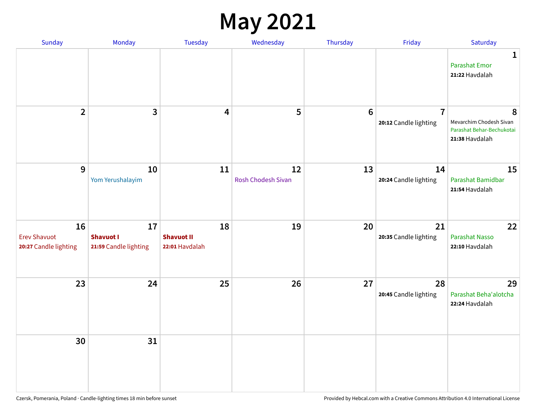#### **May 2021**

| Sunday                                             | Monday                                          | Tuesday                                   | Wednesday                       | Thursday        | Friday                                  | Saturday                                                                    |
|----------------------------------------------------|-------------------------------------------------|-------------------------------------------|---------------------------------|-----------------|-----------------------------------------|-----------------------------------------------------------------------------|
|                                                    |                                                 |                                           |                                 |                 |                                         | $\mathbf{1}$<br><b>Parashat Emor</b><br>21:22 Havdalah                      |
| $\overline{2}$                                     | 3                                               | 4                                         | 5                               | $6\phantom{1}6$ | $\overline{7}$<br>20:12 Candle lighting | 8<br>Mevarchim Chodesh Sivan<br>Parashat Behar-Bechukotai<br>21:38 Havdalah |
| $\overline{9}$                                     | 10<br>Yom Yerushalayim                          | 11                                        | 12<br><b>Rosh Chodesh Sivan</b> | 13              | 14<br>20:24 Candle lighting             | 15<br>Parashat Bamidbar<br>21:54 Havdalah                                   |
| 16<br><b>Erev Shavuot</b><br>20:27 Candle lighting | 17<br><b>Shavuot I</b><br>21:59 Candle lighting | 18<br><b>Shavuot II</b><br>22:01 Havdalah | 19                              | 20              | 21<br>20:35 Candle lighting             | 22<br>Parashat Nasso<br>22:10 Havdalah                                      |
| 23                                                 | 24                                              | 25                                        | 26                              | 27              | 28<br>20:45 Candle lighting             | 29<br>Parashat Beha'alotcha<br>22:24 Havdalah                               |
| 30                                                 | 31                                              |                                           |                                 |                 |                                         |                                                                             |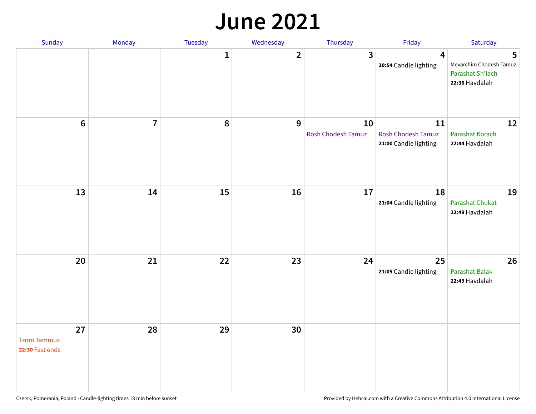#### **June 2021**

| Sunday                                      | Monday         | Tuesday      | Wednesday      | Thursday                 | Friday                                                   | Saturday                                                           |
|---------------------------------------------|----------------|--------------|----------------|--------------------------|----------------------------------------------------------|--------------------------------------------------------------------|
|                                             |                | $\mathbf{1}$ | $\overline{2}$ | $\mathbf{3}$             | $\overline{\mathbf{4}}$<br>20:54 Candle lighting         | 5<br>Mevarchim Chodesh Tamuz<br>Parashat Sh'lach<br>22:36 Havdalah |
| $6\,$                                       | $\overline{7}$ | 8            | 9              | 10<br>Rosh Chodesh Tamuz | 11<br><b>Rosh Chodesh Tamuz</b><br>21:00 Candle lighting | 12<br><b>Parashat Korach</b><br>22:44 Havdalah                     |
| 13                                          | 14             | 15           | 16             | 17                       | 18<br>21:04 Candle lighting                              | 19<br><b>Parashat Chukat</b><br>22:49 Havdalah                     |
| 20                                          | 21             | 22           | 23             | 24                       | 25<br>21:05 Candle lighting                              | 26<br><b>Parashat Balak</b><br>22:49 Havdalah                      |
| 27<br><b>Tzom Tammuz</b><br>22:30 Fast ends | 28             | 29           | 30             |                          |                                                          |                                                                    |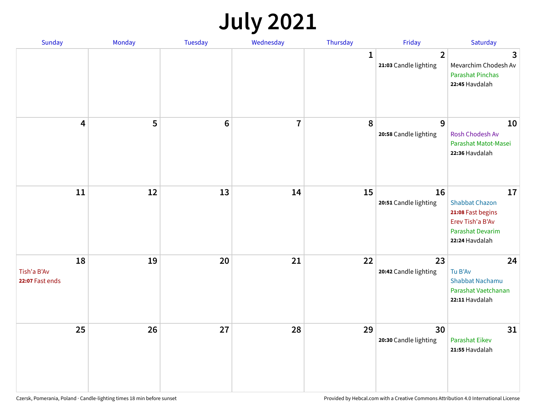# **July 2021**

| Sunday                               | Monday | Tuesday        | Wednesday               | Thursday     | Friday                                  | Saturday                                                                                                          |
|--------------------------------------|--------|----------------|-------------------------|--------------|-----------------------------------------|-------------------------------------------------------------------------------------------------------------------|
|                                      |        |                |                         | $\mathbf{1}$ | $\overline{2}$<br>21:03 Candle lighting | 3<br>Mevarchim Chodesh Av<br><b>Parashat Pinchas</b><br>22:45 Havdalah                                            |
| 4                                    | 5      | $6\phantom{1}$ | $\overline{\mathbf{r}}$ | 8            | 9<br>20:58 Candle lighting              | 10<br>Rosh Chodesh Av<br>Parashat Matot-Masei<br>22:36 Havdalah                                                   |
| 11                                   | 12     | 13             | 14                      | 15           | 16<br>20:51 Candle lighting             | 17<br><b>Shabbat Chazon</b><br>21:08 Fast begins<br>Erev Tish'a B'Av<br><b>Parashat Devarim</b><br>22:24 Havdalah |
| 18<br>Tish'a B'Av<br>22:07 Fast ends | 19     | 20             | 21                      | 22           | 23<br>20:42 Candle lighting             | 24<br>Tu B'Av<br>Shabbat Nachamu<br>Parashat Vaetchanan<br>22:11 Havdalah                                         |
| 25                                   | 26     | 27             | 28                      | 29           | 30<br>20:30 Candle lighting             | 31<br><b>Parashat Eikev</b><br>21:55 Havdalah                                                                     |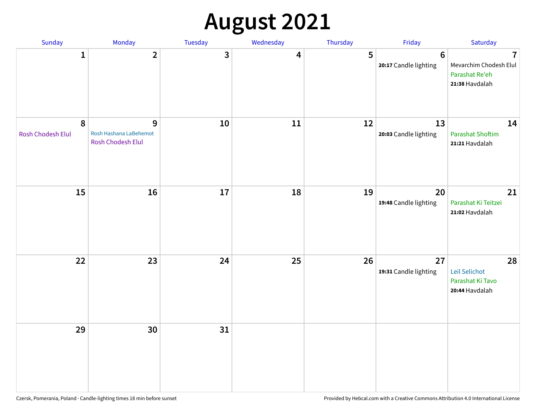# **August 2021**

| Sunday                                | Monday                                           | Tuesday | Wednesday | Thursday | Friday                           | Saturday                                                                     |
|---------------------------------------|--------------------------------------------------|---------|-----------|----------|----------------------------------|------------------------------------------------------------------------------|
| $\mathbf{1}$                          | $\mathbf{2}$                                     | 3       | 4         | 5        | $\bf 6$<br>20:17 Candle lighting | $\overline{1}$<br>Mevarchim Chodesh Elul<br>Parashat Re'eh<br>21:38 Havdalah |
| $\boldsymbol{8}$<br>Rosh Chodesh Elul | 9<br>Rosh Hashana LaBehemot<br>Rosh Chodesh Elul | $10\,$  | 11        | 12       | 13<br>20:03 Candle lighting      | 14<br><b>Parashat Shoftim</b><br>21:21 Havdalah                              |
| 15                                    | 16                                               | 17      | 18        | 19       | 20<br>19:48 Candle lighting      | 21<br>Parashat Ki Teitzei<br>21:02 Havdalah                                  |
| 22                                    | 23                                               | 24      | 25        | 26       | 27<br>19:31 Candle lighting      | 28<br>Leil Selichot<br>Parashat Ki Tavo<br>20:44 Havdalah                    |
| 29                                    | 30                                               | 31      |           |          |                                  |                                                                              |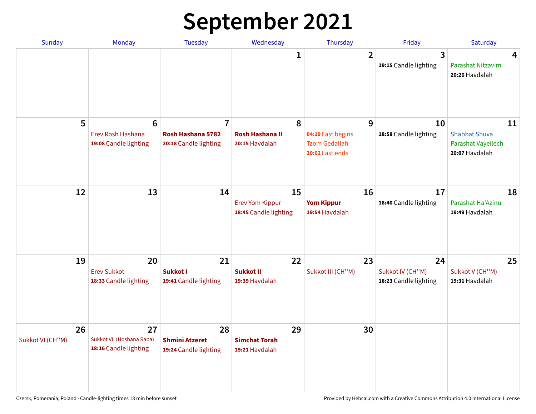# **September 2021**

| <b>Sunday</b>          | Monday                                                        | <b>Tuesday</b>                                               | Wednesday                                             | Thursday                                                          | Friday                                          | Saturday                                                           |
|------------------------|---------------------------------------------------------------|--------------------------------------------------------------|-------------------------------------------------------|-------------------------------------------------------------------|-------------------------------------------------|--------------------------------------------------------------------|
|                        |                                                               |                                                              | 1                                                     | $\overline{2}$                                                    | 3<br>19:15 Candle lighting                      | 4<br>Parashat Nitzavim<br>20:26 Havdalah                           |
| 5                      | $6\phantom{1}6$<br>Erev Rosh Hashana<br>19:08 Candle lighting | $\overline{7}$<br>Rosh Hashana 5782<br>20:18 Candle lighting | 8<br><b>Rosh Hashana II</b><br>20:15 Havdalah         | 9<br>04:19 Fast begins<br><b>Tzom Gedaliah</b><br>20:02 Fast ends | 10<br>18:58 Candle lighting                     | 11<br><b>Shabbat Shuva</b><br>Parashat Vayeilech<br>20:07 Havdalah |
| 12                     | 13                                                            | 14                                                           | 15<br><b>Erev Yom Kippur</b><br>18:45 Candle lighting | 16<br><b>Yom Kippur</b><br>19:54 Havdalah                         | 17<br>18:40 Candle lighting                     | 18<br>Parashat Ha'Azinu<br>19:49 Havdalah                          |
| 19                     | 20<br><b>Erev Sukkot</b><br>18:33 Candle lighting             | 21<br>Sukkot I<br>19:41 Candle lighting                      | 22<br><b>Sukkot II</b><br>19:39 Havdalah              | 23<br>Sukkot III (CH"M)                                           | 24<br>Sukkot IV (CH"M)<br>18:23 Candle lighting | 25<br>Sukkot V (CH"M)<br>19:31 Havdalah                            |
| 26<br>Sukkot VI (CH"M) | 27<br>Sukkot VII (Hoshana Raba)<br>18:16 Candle lighting      | 28<br><b>Shmini Atzeret</b><br>19:24 Candle lighting         | 29<br><b>Simchat Torah</b><br>19:21 Havdalah          | 30                                                                |                                                 |                                                                    |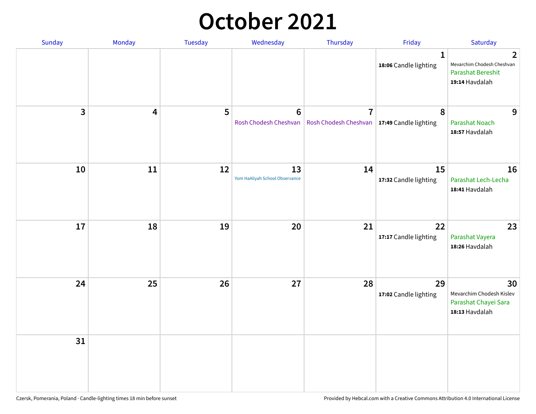### **October 2021**

| Sunday       | Monday | Tuesday | Wednesday                               | Thursday                                                        | Friday                                | Saturday                                                                                   |
|--------------|--------|---------|-----------------------------------------|-----------------------------------------------------------------|---------------------------------------|--------------------------------------------------------------------------------------------|
|              |        |         |                                         |                                                                 | $\mathbf{1}$<br>18:06 Candle lighting | $\overline{2}$<br>Mevarchim Chodesh Cheshvan<br><b>Parashat Bereshit</b><br>19:14 Havdalah |
| $\mathbf{3}$ | 4      | 5       | $6\phantom{1}$<br>Rosh Chodesh Cheshvan | $\overline{7}$<br>Rosh Chodesh Cheshvan   17:49 Candle lighting | 8                                     | 9<br><b>Parashat Noach</b><br>18:57 Havdalah                                               |
| 10           | 11     | 12      | 13<br>Yom HaAliyah School Observance    | 14                                                              | 15<br>17:32 Candle lighting           | 16<br>Parashat Lech-Lecha<br>18:41 Havdalah                                                |
| 17           | 18     | 19      | 20                                      | 21                                                              | 22<br>17:17 Candle lighting           | 23<br>Parashat Vayera<br>18:26 Havdalah                                                    |
| 24           | 25     | 26      | 27                                      | 28                                                              | 29<br>17:02 Candle lighting           | 30<br>Mevarchim Chodesh Kislev<br>Parashat Chayei Sara<br>18:13 Havdalah                   |
| 31           |        |         |                                         |                                                                 |                                       |                                                                                            |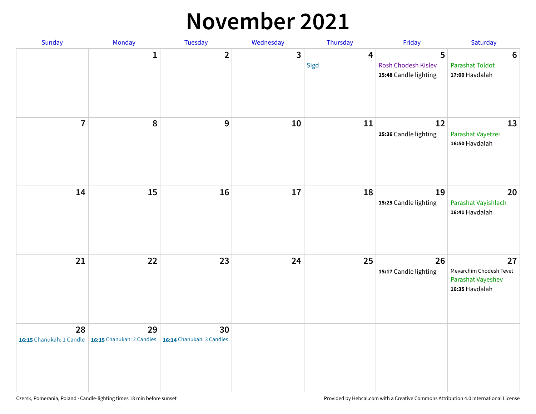#### **November 2021**

| Sunday                         | Monday                          | Tuesday                         | Wednesday | Thursday  | Friday                                            | Saturday                                                             |
|--------------------------------|---------------------------------|---------------------------------|-----------|-----------|---------------------------------------------------|----------------------------------------------------------------------|
|                                | $\mathbf{1}$                    | $\mathbf{2}$                    | 3         | 4<br>Sigd | 5<br>Rosh Chodesh Kislev<br>15:48 Candle lighting | $\boldsymbol{6}$<br><b>Parashat Toldot</b><br>17:00 Havdalah         |
| $\overline{7}$                 | 8                               | $\boldsymbol{9}$                | 10        | 11        | 12<br>15:36 Candle lighting                       | 13<br>Parashat Vayetzei<br>16:50 Havdalah                            |
| 14                             | 15                              | 16                              | 17        | 18        | 19<br>15:25 Candle lighting                       | 20<br>Parashat Vayishlach<br>16:41 Havdalah                          |
| 21                             | 22                              | 23                              | 24        | 25        | 26<br>15:17 Candle lighting                       | 27<br>Mevarchim Chodesh Tevet<br>Parashat Vayeshev<br>16:35 Havdalah |
| 28<br>16:15 Chanukah: 1 Candle | 29<br>16:15 Chanukah: 2 Candles | 30<br>16:14 Chanukah: 3 Candles |           |           |                                                   |                                                                      |